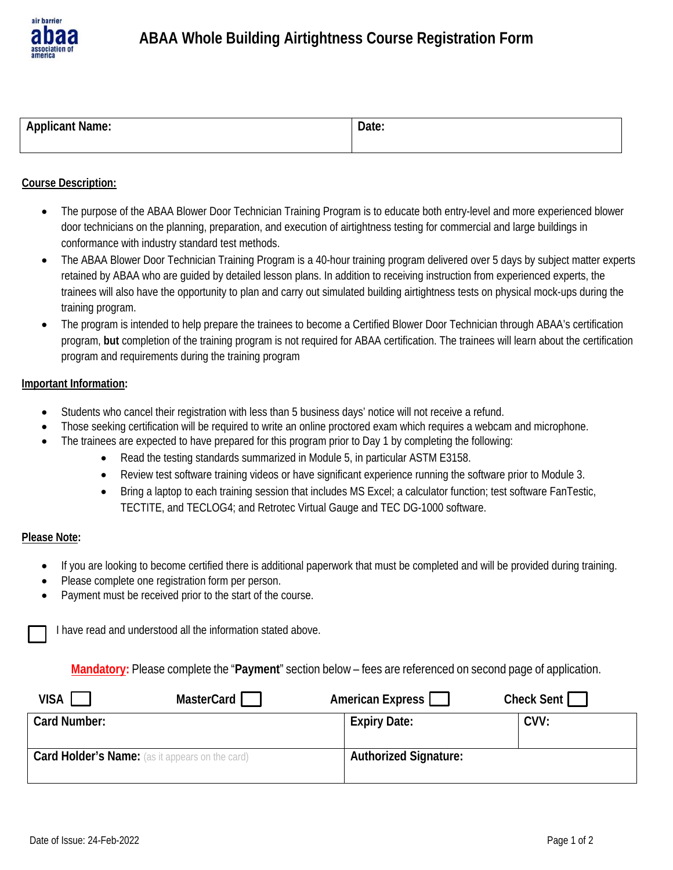

# **ABAA Whole Building Airtightness Course Registration Form**

| .<br>ivame.<br>$\mathbf{a}$<br>.an | valt.<br>$    -$ |
|------------------------------------|------------------|
|                                    |                  |

### **Course Description:**

- The purpose of the ABAA Blower Door Technician Training Program is to educate both entry-level and more experienced blower door technicians on the planning, preparation, and execution of airtightness testing for commercial and large buildings in conformance with industry standard test methods.
- The ABAA Blower Door Technician Training Program is a 40-hour training program delivered over 5 days by subject matter experts retained by ABAA who are guided by detailed lesson plans. In addition to receiving instruction from experienced experts, the trainees will also have the opportunity to plan and carry out simulated building airtightness tests on physical mock-ups during the training program.
- The program is intended to help prepare the trainees to become a Certified Blower Door Technician through ABAA's certification program, **but** completion of the training program is not required for ABAA certification. The trainees will learn about the certification program and requirements during the training program

#### **Important Information:**

- Students who cancel their registration with less than 5 business days' notice will not receive a refund.
- Those seeking certification will be required to write an online proctored exam which requires a webcam and microphone.
- The trainees are expected to have prepared for this program prior to Day 1 by completing the following:
	- Read the testing standards summarized in Module 5, in particular ASTM E3158.
	- Review test software training videos or have significant experience running the software prior to Module 3.
	- Bring a laptop to each training session that includes MS Excel; a calculator function; test software FanTestic, TECTITE, and TECLOG4; and Retrotec Virtual Gauge and TEC DG-1000 software.

#### **Please Note:**

- If you are looking to become certified there is additional paperwork that must be completed and will be provided during training.
- Please complete one registration form per person.
- Payment must be received prior to the start of the course.

I have read and understood all the information stated above.

**Mandatory:** Please complete the "**Payment**" section below – fees are referenced on second page of application.

| VISA                                                   | MasterCard | American Express             | Check Sent |
|--------------------------------------------------------|------------|------------------------------|------------|
| Card Number:                                           |            | <b>Expiry Date:</b>          | CVV:       |
| <b>Card Holder's Name:</b> (as it appears on the card) |            | <b>Authorized Signature:</b> |            |